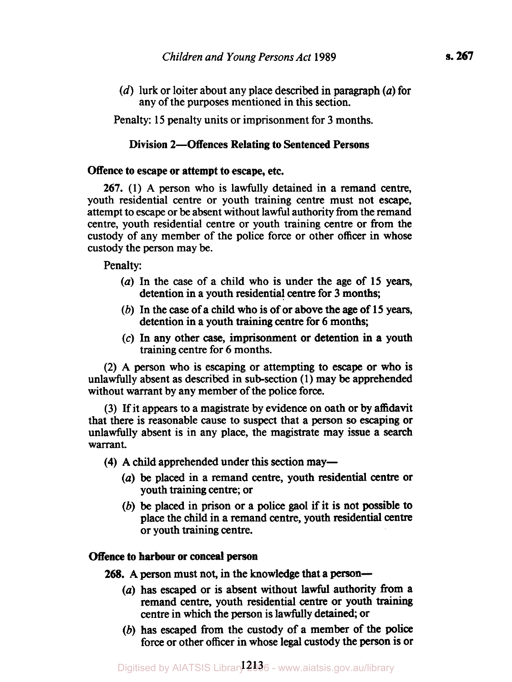*(d)* lurk or loiter about any place described in paragraph *(a)* for any of the purposes mentioned in this section.

Penalty: **15** penalty units or imprisonment for **3** months.

# **Division 2-Offences Relating to Sentenced Persons**

# **Offence to escape or attempt** to **escape, etc.**

**267.** (1) **A** person who is lawfully detained in a remand centre, youth residential centre or youth training centre must not escape, attempt to escape or be absent without lawful authority from the remand centre, youth residential centre or youth training centre or from the custody of any member of the police force or other officer in whose custody the person may be.

Penalty:

- (a) In the case of a child who is under the age of **15** years, detention in a youth residential centre for **3** months;
- (b) In the case of a child who is of or above the age of **15** years, detention in a youth training centre for 6 months;
- **(c)** In any other case, imprisonment or detention in a youth training centre for 6 months.

**(2) A** person who is escaping or attempting to escape or who is unlawfully absent as described in sub-section (1) may be apprehended without warrant by any member of the police force.

**(3)** If it appears to a magistrate by evidence on oath or by affidavit that there is reasonable cause to suspect that a person **so** escaping or unlawfully absent is in any place, the magistrate may issue a **search**  warrant.

**(4) A** child apprehended under **this** section may-

- *(a)* be placed in a remand centre, youth residential centre or youth training centre; or
- (b) be placed in prison or a police gaol if **it** is not possible to place the child in a remand centre, youth residential centre or youth training centre.

# **Offence to harbour or conceal person**

**268.** A person must not, in the knowledge that a person—

- *(a)* has escaped or is absent without lawful authority from a remand centre, youth residential centre or youth training centre in which the person is lawfully detained, or
- (b) has escaped from the custody of a member of the police force or other officer in whose legal custody the person is or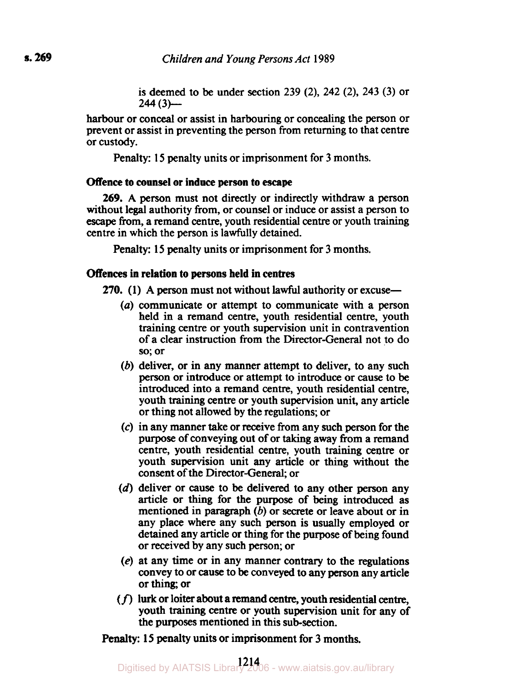is deemed to be under section **239 (2), 242 (2), 243 (3)** or **244 (3)-**

harbour or conceal or assist in harbouring or concealing the person or prevent or assist in preventing the person from returning to that centre or custody.

Penalty: **15** penalty units or imprisonment for **3** months.

## **Offence to counsel or induce person to escape**

*269.* **A** person must not directly or indirectly withdraw a person without legal authority from, or counsel or induce or assist a person to escape From, a remand centre, youth residential centre or youth training centre in which the person is lawfully detained.

Penalty: **15** penalty units or imprisonment for 3 months.

## **Offences in relation to persons held in centres**

**270.** (1) A person must not without lawful authority or excuse-

- *(a)* communicate or attempt to communicate with a person held in a remand centre, youth residential centre, youth training centre or youth supervision unit in contravention of a clear instruction from the Director-General not to do **so;** or
- (b) deliver, or in any manner attempt to deliver, to any such person or introduce or attempt to introduce or cause **to** be introduced into a remand centre, youth residential centre, youth training centre or youth supervision unit, any article or thing not allowed by the regulations; or
- *(c)* in any manner take or receive from any such **person** for the purpose of conveying out of or taking away from a remand centre, youth residential centre, youth training centre or youth supervision unit any article or thing without the consent of the Director-General, or
- (d) deliver or cause to **be** delivered to any other **person** any article or **thing** for the purpose of being introduced as mentioned in paragraph  $(b)$  or secrete or leave about or in any place where any such person is usually employed or detained any article or thing for the purpose of being found or received by any such person; or
- **(e)** at any time or in any manner contrary to the regulations convey to or cause to be conveyed to any **person** any article or thing; or
- *(f)* **lurk** or loiter about a remand centre, youth residential centre, youth training centre or youth supervision unit for any of the purposes mentioned in this sub-section.

**Penalty: 15** penalty units or imprisonment for 3 months.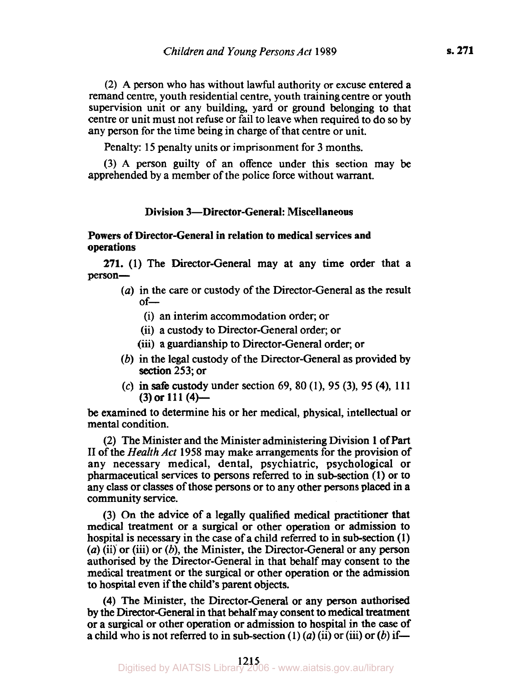**(2) A** person who has without lawful authority or excuse entered a remand centre, youth residential centre, youth training centre or youth supervision unit or any building, yard or ground belonging to that centre or unit must not refuse or fail to leave when required to do so by any person for the time being in charge of that centre or unit.

Penalty: **15** penalty units or imprisonment for 3 months.

(3) **A** person guilty of an offence under this section may be apprehended by a member of the police force without warrant.

### **Division 3-Director-General: Miscellaneous**

**Powers of Director-General in relation to medical services and operations** 

person-**271. (1)** The Director-General may at any time order that a

- *(a)* in the care or custody of the Director-General as the result  $of-$ 
	- (i) an interim accommodation order; or
	- (ii) a custody to Director-General order; or
	- (iii) a guardianship to Director-General order; or
- section **253;** or (b) in the legal custody of the Director-General as provided by
- **(3)** or **11 1 (4)-**  *(c)* in safe custody under section **69, 80 (1), 95 (3), 95 (4), 11 1**

be examined to determine his or her medical, physical, intellectual or mental condition.

(2) The Minister and the Minister administering Division **1 of Part**  II of the *Health Act* **1958** may make arrangements for the provision of any necessary medical, dental, psychiatric, psychological or pharmaceutical services to persons referred to in sub-section **(1)** or to any class or classes of those persons or to any other persons placed in a community service.

**(3)** On the advice of a legally qualified medical practitioner **that**  medical treatment or a surgical or other operation or admission to hospital is necessary in the case of a child referred to in sub-section **(1)**  *(a)* (ii) or (iii) or (b), the Minister, the Director-General or any person authorised by the Director-General in that behalf may consent to the medical treatment or the surgical or other operation or the admission to hospital even if the child's parent objects.

**(4)** The Minister, the Director-General or any person authorised by the Director-General in that behalf may consent to medical treatment or a surgical or other operation or admission to hospital in the *case* of a child who is not referred to in sub-section  $(1)$   $(a)$   $(ii)$  or  $(iii)$  or  $(b)$  if-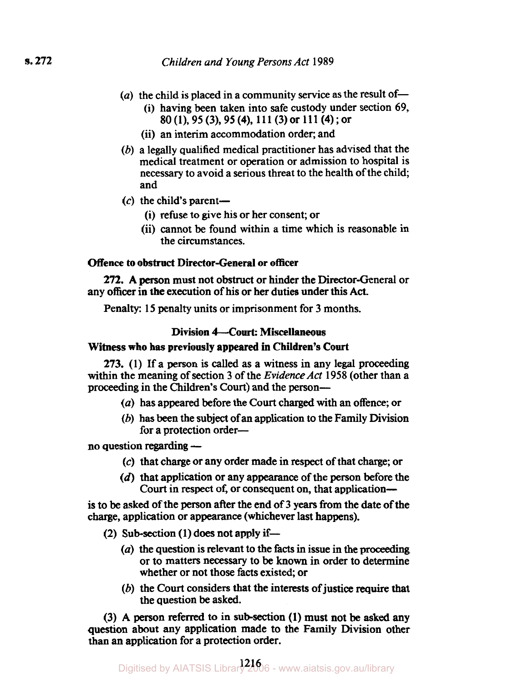- $(a)$  the child is placed in a community service as the result of-
	- (i) having been taken into safe custody under section 69, 80 (1), 95 **(3),** 95 **(4),** 11 1 (3) or 11 1 **(4)** ; or
	- (ii) an interim accommodation order; and
- (b) a legally qualified medical practitioner has advised that the medical treatment or operation or admission to hospital is necessary to avoid a serious threat to the health of the child; and
- $(c)$  the child's parent-
	- (i) refuse to give his or her consent; or
	- (ii) cannot be found within a time which is reasonable in the circumstances.

# **Offence to obstruct Director-General or officer**

any officer in the execution of **his** or her duties under this Act. **272. A** person must not obstruct or hinder the Director-General or

Penalty: 15 penalty units or imprisonment for 3 months.

## **Division 4--Court: Miscellaneous**

### **Witness who has previously appeared in Children's Court**

**273.** (1) If a person is called as a witness in any legal proceeding within the meaning of section 3 of the *Evidence Act* 1958 (other than a proceeding in the Children's Court) and the person-

- *(a)* has appeared before the **Court** charged with an offence; or
- (b) has been the subject of an application to the Family Division for a protection order-

no question regarding -

- *(c)* that charge or any order made in respect of that charge; or
- (d) that application or any appearance of the person before the Court in respect of, or consequent on, that application-

is to be asked of the person after the end of 3 years from the date of the charge, application or appearance (whichever last happens).

- (2) Sub-section **(1)** does not apply **if-** 
	- *(a)* the question is relevant to the facts in issue in the **proceeding**  or to matters necessary to be **known** in order to determine whether or not those facts existed; or
	- (b) the Court considers that the interests of justice require **that**  the question be asked.

(3) **A person** referred to in sub-section **(1)** must not be **asked any**  question about any application made to the Family Division other than an application for a protection order.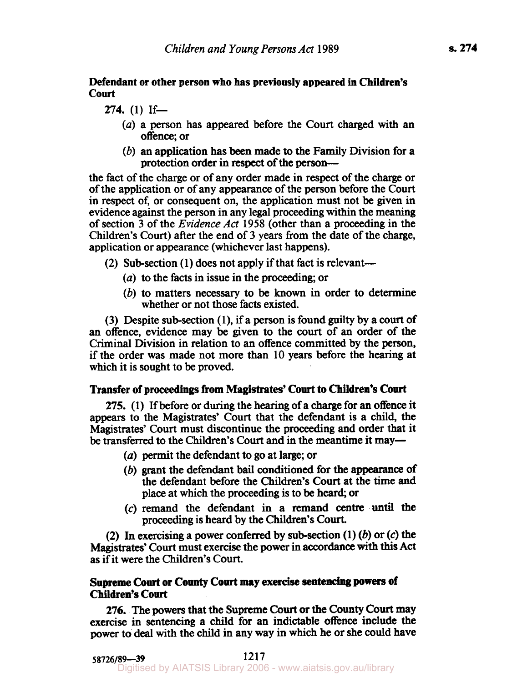# **Defendant or other person who has previously appeared in Children's court**

**274.** (1) If-

- *(a)* a person has appeared before the Court charged with an offence; or
- (b) an application has been made to the Family Division for a protection order in respect of the person-

the fact of the charge or of any order made in respect of the charge or of the application or of any appearance of the person before the **Court**  in respect **of,** or consequent on, the application must not be given in evidence against the person in any legal proceeding within the meaning of section 3 of the *Evidence* Act 1958 (other than a proceeding in the Children's Court) after the end of 3 years from the date of the charge, application or appearance (whichever last happens).

- (2) Sub-section (1) does not apply if that fact is relevant-
	- *(a)* to the facts in issue in the proceeding; or
	- (b) to matters necessary to be **known** in order to determine whether or not those facts existed.

(3) Despite sub-section (1), if a person is found guilty by a court of an offence, evidence may be given to the **court** of an order of the Criminal Division in relation to an offence committed by the person, if the order was made not more than 10 years before the hearing at which it is sought to be proved.

# **Transfer of proceedings from Magistrates' Court to Children's Court**

**275. (1)** If before or during the hearing of a charge for an offence it appears to the Magistrates' Court that the defendant is a child, the Magistrates' Court must discontinue the proceeding and order that it be transferred to the Children's Court and in the meantime it may—

- *(a)* permit the defendant to go at large; or
- (b) grant the defendant bail conditioned for the appearance of the defendant before the Children's **Court** at the time and place at which the proceeding is to be heard; or
- *(c)* remand the defendant in a remand centre **until the**  proceeding is heard by the Children's Court.

(2) In exercising a power conferred by sub-section (1) (b) or *(c)* the **Magistrates'** Court must exercise the power in accordance with **this Act**  as if it were the Children's Court.

# **Supreme Court or County Court may exercise sentencing powers of Children's Court**

**276.** The **powers** that the Supreme Court or the County Court may exercise in sentencing a child for an indictable offence include the power to **deal** with the child in any way in which he or she could have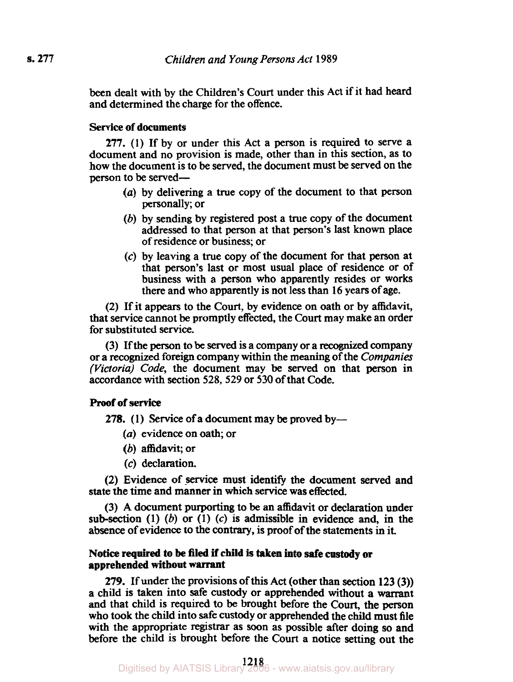been dealt with by the Children's Court under this Act if it had heard and determined the charge for the offence.

## **Service of documents**

*277.* **(1)** If by or under this Act a person is required to serve a document and no provision is made, other than in this section, as to how the document is to be served, the document must be served on the person to be served-

- *(a)* by delivering a true copy of the document to that person personally; or
- (b) by sending by registered post a true copy of the document addressed to that person at that person's last **known** place of residence or business; or
- *(c)* by leaving a true copy of the document for that person at that person's last or most usual place of residence or of business with a person who apparently resides or works there and who apparently is not less than **16** years of age.

**(2)** If it appears to the Court, by evidence on oath or by affidavit, that service cannot be promptly effected, the Court may make an order for substituted service.

**(3)** If the person to be served is a company or a recognized company or a recognized foreign company within the meaning of the *Companies (Victoria) Code,* the document may be served on that person in accordance with section **528, 529** or **530** of that Code.

## **Proof of service**

**278.** (1) Service of a document may be proved by-

- *(a)* evidence on oath; or
- (b) affidavit; or
- *(c)* declaration.

**(2)** Evidence **of** service must identify the document served and state the time and manner in which service was effected.

**(3)** A document purporting to be an affidavit or declaration under sub-section (1) (b) or **(1) (c)** is admissible in evidence and, in the absence of evidence to **the** contrary, is proof of the statements in it.

### **Notice required to be filed if child is taken into safe custody or apprehended without warrant**

*279.* If under the provisions of this Act (other than section **123 (3)) a** child is taken into safe custody or apprehended without a warrant and that child is required to be brought before the Court, the **person**  who took the child into safe custody or apprehended the child must file with the appropriate registrar as soon as possible after doing **so** and before the child is brought before the Court a notice setting out the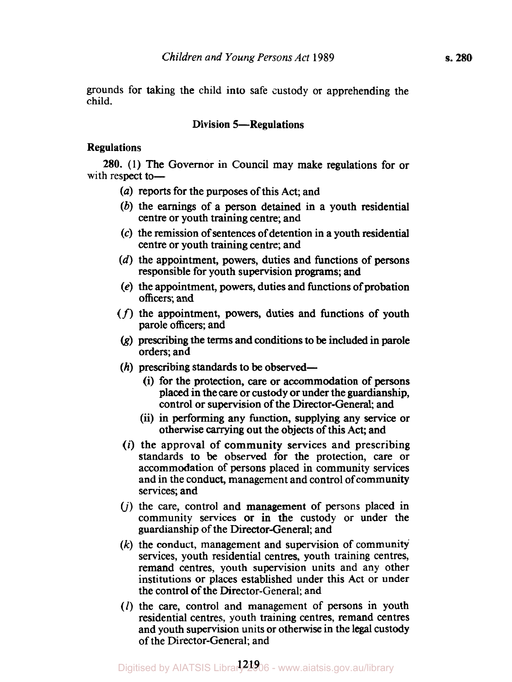grounds for taking the child into safe custody or apprehending the child.

# Division 5-Regulations

### Regulations

with respect to-280. (1) The Governor in Council may make regulations for or

- *(a)* reports for the purposes of this Act; and
- (b) the earnings of a person detained in a youth residential centre or youth training centre; and
- *(c)* the remission of sentences of detention in a youth residential centre or youth training centre; and
- (d) the appointment, powers, duties and functions of persons responsible for youth supervision programs; and
- (e) the appointment, powers, duties and functions of probation officers; and
- *(f)* the appointment, powers, duties and functions of youth parole officers; and
- (g) prescribing the **terms** and conditions to be included in parole orders; and
- $(h)$  prescribing standards to be observed-
	- (i) for the protection, *care* or accommodation of persons placed in the care or custody or under the guardianship, control or supervision of the Director-General; and
	- (ii) in performing any function, supplying any service or otherwise carrying out the objects of **this** Act; and
- *(i)* the approval of community services and prescribing standards to be observed for the protection, care or accommodation of persons placed in community services and in the conduct, management and control of community services; and
- $(i)$  the care, control and management of persons placed in community services or in the custody or under the guardianship of the Director-General; and
- *(k)* the conduct, management and supervision of community services, youth residential centres, youth training centres, remand centres, youth supervision units and any other institutions or places established under this Act or under the control of the Director-General; and
- *(I)* the care, control and management of persons in youth residential centres, youth training centres, remand centres and youth supervision units or otherwise in the legal custody of the Director-General; and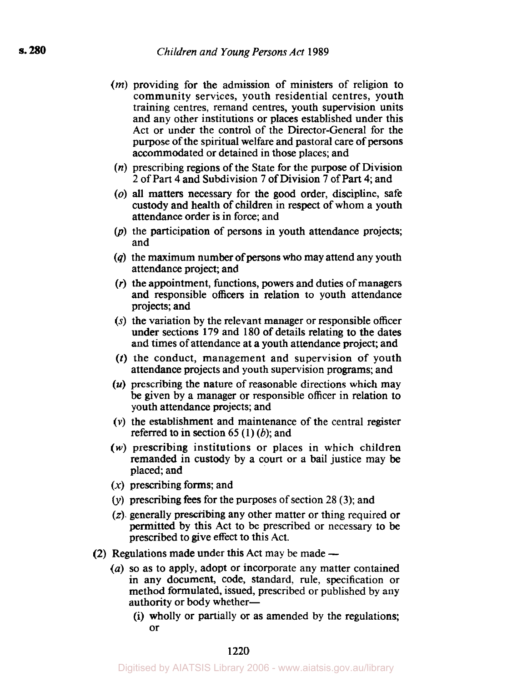- *(m)* providing for the admission of ministers of religion to community services, youth residential centres, youth training centres, remand centres, youth supervision units and any other institutions or places established under this Act or under the control of the Director-General for the purpose of the spiritual welfare and pastoral care of persons accommodated or detained in those places; and
- *(n)* prescribing regions of the State for the purpose of Division 2 of Part **4** and Subdivision 7 of Division 7 of Part **4;** and
- *(o)* all matters necessary for the good order, discipline, safe custody and health of children in respect of whom a youth attendance order is in force; and
- (p) the participation of persons in youth attendance projects; and
- *(q)* the maximum number of persons who may attend any youth attendance project; and
- (r) the appointment, functions, powers and duties of managers and responsible officers in relation to youth attendance projects; and
- (s) the variation by the relevant manager or responsible officer under sections 179 and 180 of details relating to the dates and times of attendance at a youth attendance project; and
- (t) the conduct, management and supervision of youth attendance projects and youth supervision programs; and
- *(u)* prescribing the nature of reasonable directions which may be given by a manager or responsible officer in relation to youth attendance projects; and
- *(v)* the establishment and maintenance of the central register referred to in section **65** (1) (b); and
- *(w)* prescribing institutions or places in which children remanded in custody by a court or a bail justice may be placed; and
- $(x)$  prescribing forms; and
- $(v)$  prescribing fees for the purposes of section 28 (3); and
- *(z).* generally prescribing any other matter or thing required or permitted by this Act to be prescribed or necessary to be prescribed to give effect to this Act.
- **(2)** Regulations made under **this** Act may be made
	- *(a)* so as to apply, adopt or incorporate any matter contained in any document, code, standard, rule, specification or method formulated, issued, prescribed or published by any authority or body whether-
		- (i) wholly or partially or as amended by the regulations; or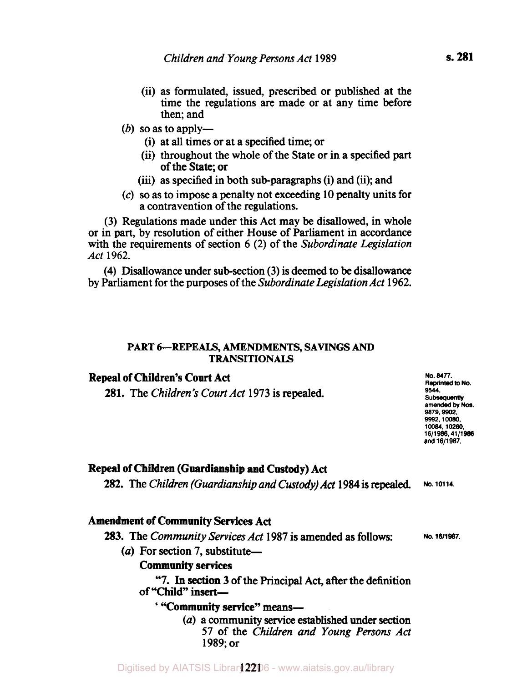- (ii) as formulated, issued, prescribed or published at the time the regulations are made or at any time before then; and
- $(b)$  so as to apply-
	- (i) at all times or at a specified time; or
	- (ii) throughout the whole of the State or in **a** specified part of the State; or
	- (iii) as specified in both sub-paragraphs (i) and (ii); and
- (c) **so as** to impose a penalty not exceeding 10 penalty units for a contravention of the regulations.

(3) Regulations made under this Act may be disallowed, in whole or in part, by resolution of either House of Parliament in accordance with the requirements of section 6 (2) of the *Subordinate Legislation Act* 1962.

(4) Disallowance under sub-section (3) is deemed to be disallowance by Parliament for the purposes of the *Subordinate Legislation Act* 1962.

#### **PART 6-REPEALS, AMENDMENTS, SAVINGS** *AND*  **TRANSITIONALS**

# **Repeal of Children's Court Act**

**281.** The *Children's Court Act* 1973 is repealed.

**No.** *16/1987.* 

# **Repeal of Children (Guardianship and Custody) Act**

**282.** The *Children (Guardianship and Custody) Act* 1984 is **repealed. No. 10114.** 

# **Amendment of Community Services Act**

### **283.** The *Community Services Act* 1987 is amended as follows:

(a) For section 7, substitute-

# **Community services**

of "Child" insert-**"7.** In section 3 of the Principal Act, after the definition

# ' **"Community service" means-**

*(a)* a community **service** established under **section**  57 of the *Children and Young Persons Act*  1989; or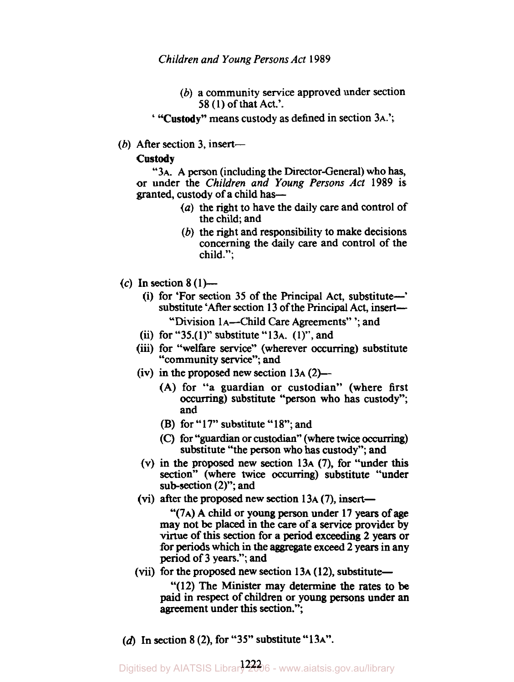*Children and Young Persons Act* 1989

(b) a community service approved under section 58 (1) of that Act.'.

' **"Custody"** means custody as defined in section 3A.';

(b) After section 3, insert-

### **Custody**

"3A. A person (including the Director-General) who has, or under the *Children and Young Persons Act* 1989 is granted, custody of a child has-

- *(a)* the right to have the daily care and control of the child; and
- (b) the right and responsibility to make decisions concerning the daily care and control of the child.";
- $(c)$  In section 8  $(1)$ 
	- (i) for 'For section 35 of the Principal Act, substitute-' substitute 'After section 13 of the Principal Act, insert-"Division 1A--Child Care Agreements" '; and
	- (ii) for "35.(1)" substitute "13A.  $(1)$ ", and
	- (iii) for "welfare **service"** (wherever occurring) substitute
	- "community **service";** and
	- (iv) in the proposed new section  $13A(2)$ 
		- (A) for "a guardian or custodian" (where first **occurring)** substitute "person who has custody"; and
		- (B) for " $17$ " substitute " $18$ "; and
		- (C) for **"guardian** or custodian'' (where twice *ocurring)*  substitute "the person who has custody"; and
	- **(V)** in the proposed new section 13A (7), for "under **this section''** (where twice **occurring)** substitute "under sub-section (2)"; and
	- (vi) after the proposed new section  $13A(7)$ , insert-

"( **7A)** A child or young person under 17 years of age may not be placed in the *care* of a service provider by virtue of **this section** for a period exceeding 2 years or for periods which in the aggregate exceed 2 years in any period Of 3 years."; and

(vii) for the proposed new section  $13A(12)$ , substitute-

"(12) The Minister may determine the rates to be paid in **respect of** children or young persons under an agreement under this section.";

(d) In section 8 **(2),** for "35" substitute "13A".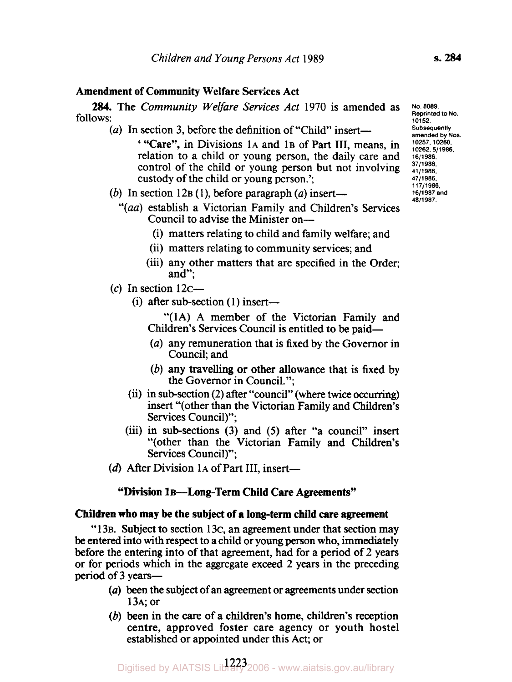## **Amendment of Community Welfare Services Act**

follows: **284.** The *Community Welfare Services Act* 1970 is amended as

- (a) In section 3, before the definition of "Child" insert-' **"Care",** in Divisions 1A and **1B** of Part III, means, in relation to a child or young person, the daily care and control of the child or young person but not involving custody of the child or young person.';
- (b) In section  $12B(1)$ , before paragraph (a) insert-
	- Council to advise the Minister on- *"(aa)* establish a Victorian Family and Children's Services
		- (i) matters relating to child and family welfare; and
		- (ii) matters relating to community services; and
		- (iii) any other matters that are specified in the Order; and";
- (c) In section  $12c-$ 
	- (i) after sub-section  $(1)$  insert-

"(1A) A member of the Victorian Family and Children's Services Council is entitled to be paid-

- *(a)* any remuneration that is fixed by the Governor in Council; and
- (b) any travelling or other allowance that is fixed by the Governor in Council.";
- (ii) in sub-section (2) after "council" (where twice occurring) insert "(other than the Victorian Family and Children's Services Council)";
- (iii) in subsections (3) and *(5)* after "a council" insert "(other than the Victorian Family and Children's Services Council)";
- (d) After Division 1A of Part III, insert-

#### **"Division 1B-Long-Term Child Care Agreements"**

#### **Children who may be the subject of a long-term child care agreement**

"13B. Subject to section 13 $\epsilon$ , an agreement under that section may be entered into with **respect** to a child or young person who, immediately before the entering into of that agreement, had for a period of 2 years or for periods which in the aggregate exceed 2 years in the preceding period of 3 years-

- *(a)* been the subject of an agreement or agreements under section 13A; or
- (b) been in the *care* of a children's home, children's reception centre, approved foster care agency or youth hostel established or appointed under this Act; or

**No. 8089. Reprinted to No. 10152. Subsequently amended by Nos. 10257, 10260. 10262.5/1986. 16/1986. 37/1986. 41/1986. 47/1 906. 11 7/1986. 16/1987 and 48/1907.**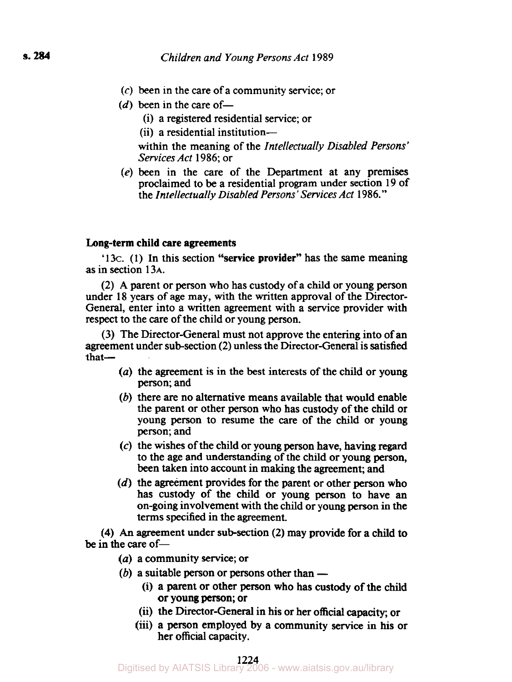- (c) been in the care of a community service; or
- $(d)$  been in the care of-
	- (i) a registered residential service; or
	- (ii) a residential institution-

within the meaning of the *Intellectually Disabled Persons' Services Act* 1986; or

*(e)* been in the care of the Department at any premises proclaimed to be a residential program under section 19 of the *Intellectually Disabled Persons' Services Act* 1986."

#### **Long-term child Care agreements**

'13c. **(1)** In this section **"service provider"** has the same meaning as in section 13A.

(2) **A** parent or person who has custody of a child or young person under 18 years of age may, with the written approval of the Director-General, enter into a written agreement with a service provider with respect to the care of the child or young person.

(3) The Director-General must not approve the entering into of an agreement under sub-section (2) unless the Director-General is satisfied that-

- *(a)* the agreement is in the best interests of the child or young person; and
- (b) there **are** no alternative means available that would enable the parent or other person who has custody of the child or young person to resume the care of the child or young person; and
- *(c)* the wishes of the child or young person have, having **regard**  to the age and understanding of the child or young person, been taken into account in making the agreement; and
- $(d)$  the agreement provides for the parent or other person who has custody of the child or young **person** to have **an**  on-going involvement with the child or young person in the terms specified in the agreement.

**(4)** *An* agreement under sub-section **(2)** may provide for a **child** to **be** in the care of —

- *(a)* a community **service;** or
- $(b)$  a suitable person or persons other than  $-$ 
	- (i) a parent or other person who has custody of the **child**  or young person; or
	- (ii) the Director-General in his or her official capacity; or
	- (iii) a person employed by a community **service** in **his** or her official capacity.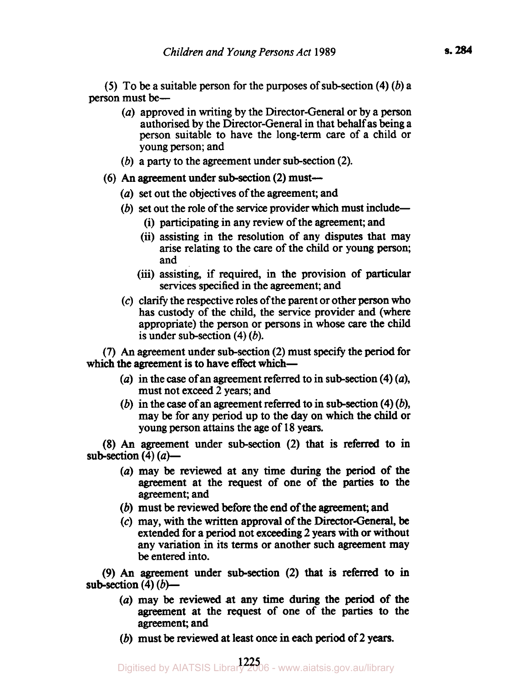*(5)* To be a suitable person for the purposes of sub-section **(4)** (b) a person must be-

- *(a)* approved in writing by the Director-General or by a person authorised by the Director-General in that behalf as being a person suitable to have the long-term care of a child or young person; and
- (b) a party to the agreement under sub-section (2).
- **(6)** An agreement under sub-section (2) must-
	- *(a)* set out the objectives of the agreement; and
	- (b) set out the role of the service provider which must include-
		- (i) participating in any review of the agreement; and
		- (ii) assisting in the resolution of any disputes that may arise relating to the care of the child or young person; and
		- **(iii)** assisting, if required, in the provision of particular services specified in the agreement; and
	- (c) clarify the respective roles of the parent or other person who has custody of the child, the service provider and (where appropriate) the person or persons in whose *care* the child is under sub-section **(4)** (b).

**(7)** An agreement under sub-section **(2)** must **specify** the period for which the agreement is to have effect which-

- *(a)* in the *case* of an agreement referred to in sub-section **(4)** *(a),*  must not exceed 2 years; and
- (b) in the *case* of an agreement referred to in sub-section **(4)** (b), may be for any period up to the day on which the child or young person attains the age of 18 years.

**(8)** An agreement under sub-section (2) that is referred to in sub-section **(4)** *(a)-* 

- *(a)* may be reviewed at any time during the **period** of the agreement at the request of one of the parties to the agreement; and
- $(b)$  must be reviewed before the end of the agreement; and
- (c) may, with the written approval of the Director-General, **be**  extended for a period not exceeding 2 **years** with or without any variation **in** its **terms** or another such agreement may be entered into.

*(9) An* agreement under **sub-section (2)** that is referred **to** in sub-section  $(4)$   $(b)$ —

- *(a)* may be reviewed at any time during the **period** of the agreement at the request of one of the parties to the agreement; and
- (b) must be reviewed at least once in each period of 2 years.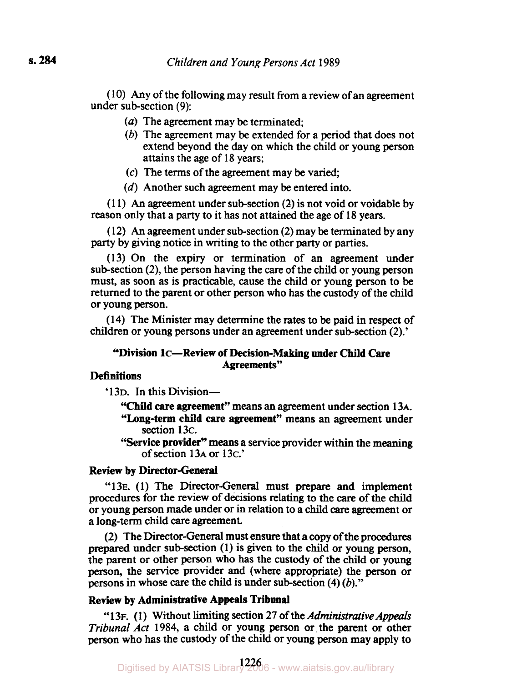( **10)** Any of the following may result from a review of an agreement under sub-section (9):

- *(a)* The agreement may be terminated;
- (b) The agreement may be extended for a period that does not extend beyond the day on which the child or young person attains the age of **18** years;
- *(c)* The terms of the agreement may be varied;
- *(d)* Another such agreement may be entered into.

**(1 1)** An agreement under sub-section (2) is not void or voidable by reason only that a party to it has not attained the age of **18** years.

( **12)** An agreement under sub-section **(2)** may be terminated by any party by giving notice in writing to the other party or parties.

**(13)** On the expiry or termination of an agreement under sub-section **(2),** the person having the care of the child or young person must, as soon as is practicable, cause the child or young person to be returned to the parent or other person who has the custody of the child or young person.

**(14)** The Minister may determine the rates to be paid in respect of children or young persons under an agreement under sub-section **(2).'** 

#### **"Division 1c-Review of Decision-Making under Child Care Agreements"**

# **Definitions**

**'13D.** In this Division-

**"Child care agreement"** means an agreement under Section **13A.** 

- **"Long-term child care agreement"** means an agreement under section **13c.**
- **''Service provider"** means a service provider within the meaning of section **13A** or **13c.'**

## **Review by Director-General**

**"13E. (1)** The Director-General must prepare and implement procedures for the review of decisions relating to the care of the child or young person made under or in relation to a child *care* agreement or a long-term child care agreement.

**(2)** The Director-General must ensure that a copy of the procedures prepared under sub-section **(1)** is given to the child or young person, the parent or other person who has the custody of the child or young person, the service provider and (where appropriate) the **person** or persons in whose care the child is under sub-section **(4)** (b)."

# **Review by Administrative Appeals Tribunal**

**"13F. (1)** Without limiting Section **27** of the *Administrative Appeals Tribunal Act* **1984,** a child or young person or the parent or other person who has the custody of the child or young person may apply to